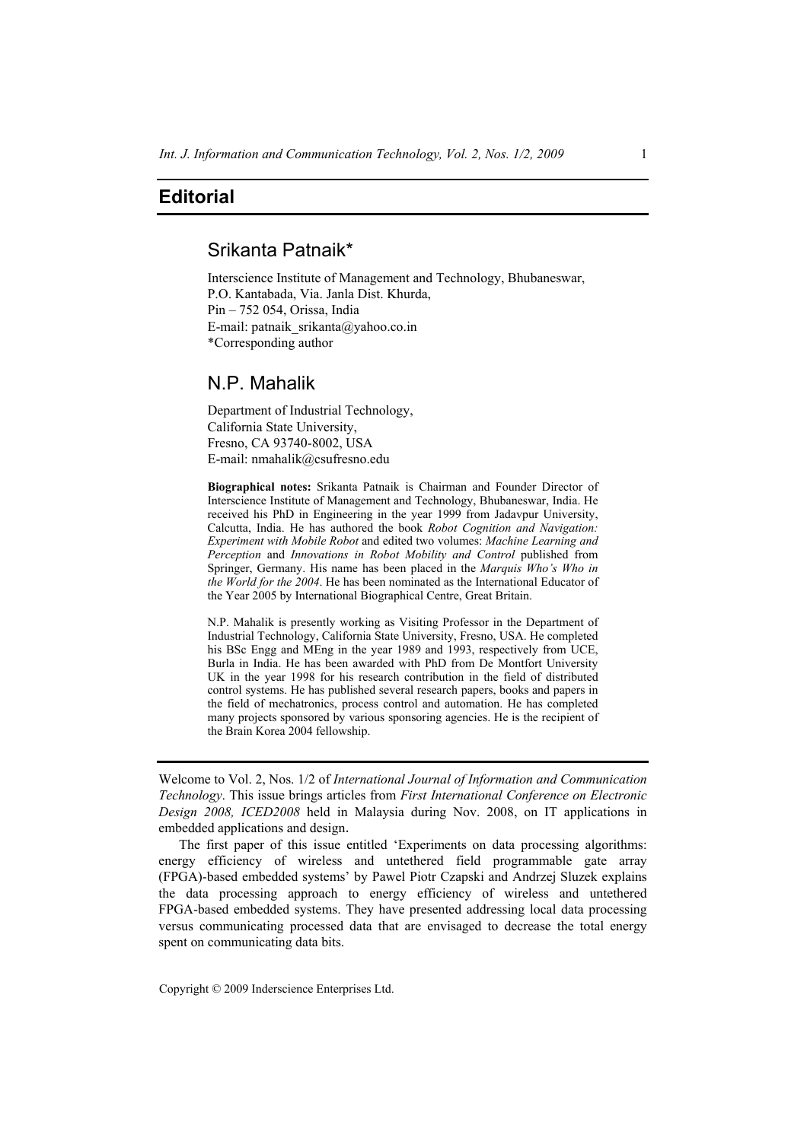## **Editorial**

# Srikanta Patnaik\*

Interscience Institute of Management and Technology, Bhubaneswar, P.O. Kantabada, Via. Janla Dist. Khurda, Pin – 752 054, Orissa, India E-mail: patnaik\_srikanta@yahoo.co.in \*Corresponding author

## N.P. Mahalik

Department of Industrial Technology, California State University, Fresno, CA 93740-8002, USA E-mail: nmahalik@csufresno.edu

**Biographical notes:** Srikanta Patnaik is Chairman and Founder Director of Interscience Institute of Management and Technology, Bhubaneswar, India. He received his PhD in Engineering in the year 1999 from Jadavpur University, Calcutta, India. He has authored the book *Robot Cognition and Navigation: Experiment with Mobile Robot* and edited two volumes: *Machine Learning and Perception* and *Innovations in Robot Mobility and Control* published from Springer, Germany. His name has been placed in the *Marquis Who's Who in the World for the 2004*. He has been nominated as the International Educator of the Year 2005 by International Biographical Centre, Great Britain.

N.P. Mahalik is presently working as Visiting Professor in the Department of Industrial Technology, California State University, Fresno, USA. He completed his BSc Engg and MEng in the year 1989 and 1993, respectively from UCE, Burla in India. He has been awarded with PhD from De Montfort University UK in the year 1998 for his research contribution in the field of distributed control systems. He has published several research papers, books and papers in the field of mechatronics, process control and automation. He has completed many projects sponsored by various sponsoring agencies. He is the recipient of the Brain Korea 2004 fellowship.

Welcome to Vol. 2, Nos. 1/2 of *International Journal of Information and Communication Technology*. This issue brings articles from *First International Conference on Electronic Design 2008, ICED2008* held in Malaysia during Nov. 2008, on IT applications in embedded applications and design.

The first paper of this issue entitled 'Experiments on data processing algorithms: energy efficiency of wireless and untethered field programmable gate array (FPGA)-based embedded systems' by Pawel Piotr Czapski and Andrzej Sluzek explains the data processing approach to energy efficiency of wireless and untethered FPGA-based embedded systems. They have presented addressing local data processing versus communicating processed data that are envisaged to decrease the total energy spent on communicating data bits.

Copyright © 2009 Inderscience Enterprises Ltd.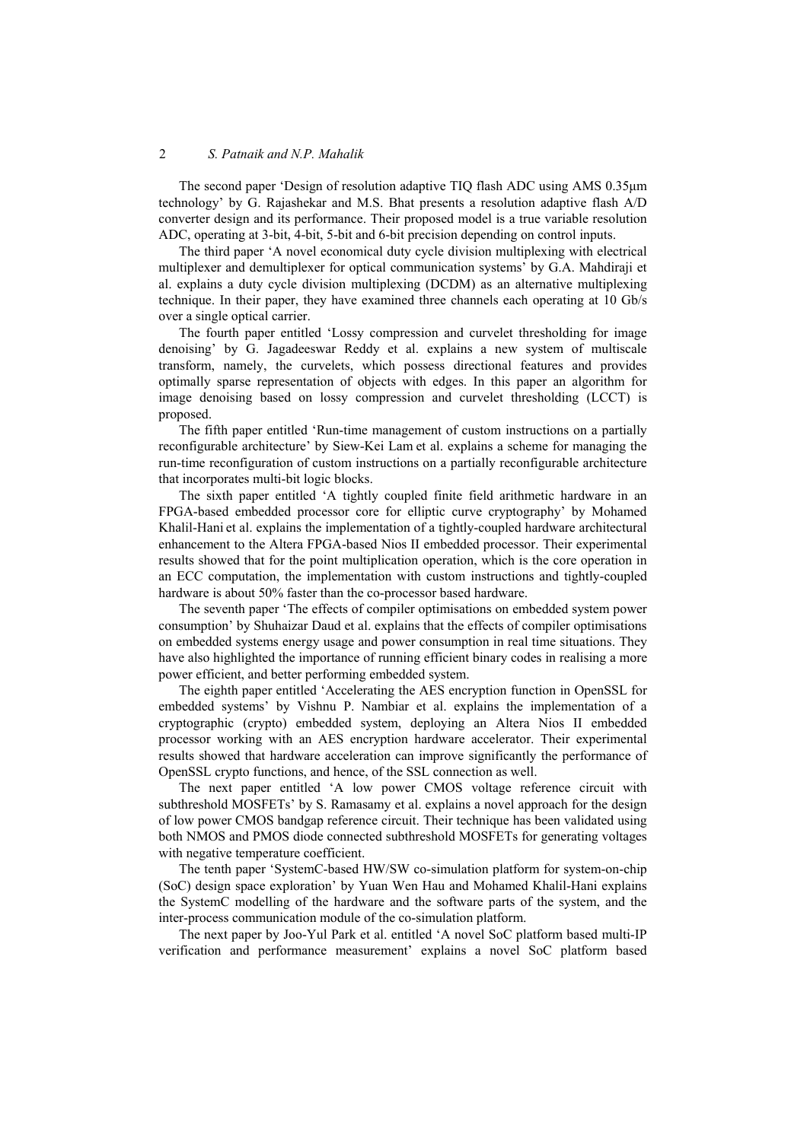### 2 *S. Patnaik and N.P. Mahalik*

The second paper 'Design of resolution adaptive TIQ flash ADC using AMS 0.35μm technology' by G. Rajashekar and M.S. Bhat presents a resolution adaptive flash A/D converter design and its performance. Their proposed model is a true variable resolution ADC, operating at 3-bit, 4-bit, 5-bit and 6-bit precision depending on control inputs.

The third paper 'A novel economical duty cycle division multiplexing with electrical multiplexer and demultiplexer for optical communication systems' by G.A. Mahdiraji et al. explains a duty cycle division multiplexing (DCDM) as an alternative multiplexing technique. In their paper, they have examined three channels each operating at 10 Gb/s over a single optical carrier.

The fourth paper entitled 'Lossy compression and curvelet thresholding for image denoising' by G. Jagadeeswar Reddy et al. explains a new system of multiscale transform, namely, the curvelets, which possess directional features and provides optimally sparse representation of objects with edges. In this paper an algorithm for image denoising based on lossy compression and curvelet thresholding (LCCT) is proposed.

The fifth paper entitled 'Run-time management of custom instructions on a partially reconfigurable architecture' by Siew-Kei Lam et al. explains a scheme for managing the run-time reconfiguration of custom instructions on a partially reconfigurable architecture that incorporates multi-bit logic blocks.

The sixth paper entitled 'A tightly coupled finite field arithmetic hardware in an FPGA-based embedded processor core for elliptic curve cryptography' by Mohamed Khalil-Hani et al. explains the implementation of a tightly-coupled hardware architectural enhancement to the Altera FPGA-based Nios II embedded processor. Their experimental results showed that for the point multiplication operation, which is the core operation in an ECC computation, the implementation with custom instructions and tightly-coupled hardware is about 50% faster than the co-processor based hardware.

The seventh paper 'The effects of compiler optimisations on embedded system power consumption' by Shuhaizar Daud et al. explains that the effects of compiler optimisations on embedded systems energy usage and power consumption in real time situations. They have also highlighted the importance of running efficient binary codes in realising a more power efficient, and better performing embedded system.

The eighth paper entitled 'Accelerating the AES encryption function in OpenSSL for embedded systems' by Vishnu P. Nambiar et al. explains the implementation of a cryptographic (crypto) embedded system, deploying an Altera Nios II embedded processor working with an AES encryption hardware accelerator. Their experimental results showed that hardware acceleration can improve significantly the performance of OpenSSL crypto functions, and hence, of the SSL connection as well.

The next paper entitled 'A low power CMOS voltage reference circuit with subthreshold MOSFETs' by S. Ramasamy et al. explains a novel approach for the design of low power CMOS bandgap reference circuit. Their technique has been validated using both NMOS and PMOS diode connected subthreshold MOSFETs for generating voltages with negative temperature coefficient.

The tenth paper 'SystemC-based HW/SW co-simulation platform for system-on-chip (SoC) design space exploration' by Yuan Wen Hau and Mohamed Khalil-Hani explains the SystemC modelling of the hardware and the software parts of the system, and the inter-process communication module of the co-simulation platform.

The next paper by Joo-Yul Park et al. entitled 'A novel SoC platform based multi-IP verification and performance measurement' explains a novel SoC platform based